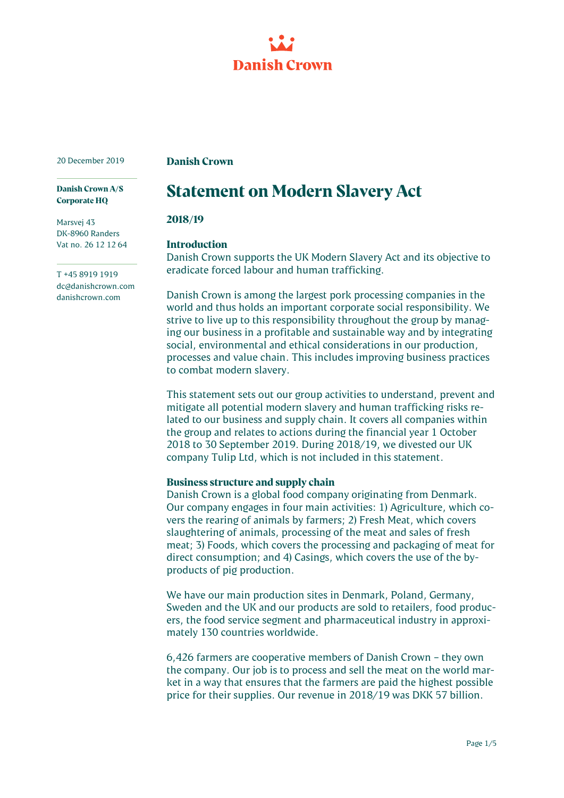

20 December 2019

**Danish Crown** 

#### **Danish Crown A/S Corporate HQ**

Marsvej 43 DK-8960 Randers Vat no. 26 12 12 64

T +45 8919 1919 dc@danishcrown.com danishcrown.com

# **Statement on Modern Slavery Act**

## **2018/19**

# **Introduction**

Danish Crown supports the UK Modern Slavery Act and its objective to eradicate forced labour and human trafficking.

Danish Crown is among the largest pork processing companies in the world and thus holds an important corporate social responsibility. We strive to live up to this responsibility throughout the group by managing our business in a profitable and sustainable way and by integrating social, environmental and ethical considerations in our production, processes and value chain. This includes improving business practices to combat modern slavery.

This statement sets out our group activities to understand, prevent and mitigate all potential modern slavery and human trafficking risks related to our business and supply chain. It covers all companies within the group and relates to actions during the financial year 1 October 2018 to 30 September 2019. During 2018/19, we divested our UK company Tulip Ltd, which is not included in this statement.

# **Business structure and supply chain**

Danish Crown is a global food company originating from Denmark. Our company engages in four main activities: 1) Agriculture, which covers the rearing of animals by farmers; 2) Fresh Meat, which covers slaughtering of animals, processing of the meat and sales of fresh meat; 3) Foods, which covers the processing and packaging of meat for direct consumption; and 4) Casings, which covers the use of the byproducts of pig production.

We have our main production sites in Denmark, Poland, Germany, Sweden and the UK and our products are sold to retailers, food producers, the food service segment and pharmaceutical industry in approximately 130 countries worldwide.

6,426 farmers are cooperative members of Danish Crown – they own the company. Our job is to process and sell the meat on the world market in a way that ensures that the farmers are paid the highest possible price for their supplies. Our revenue in 2018/19 was DKK 57 billion.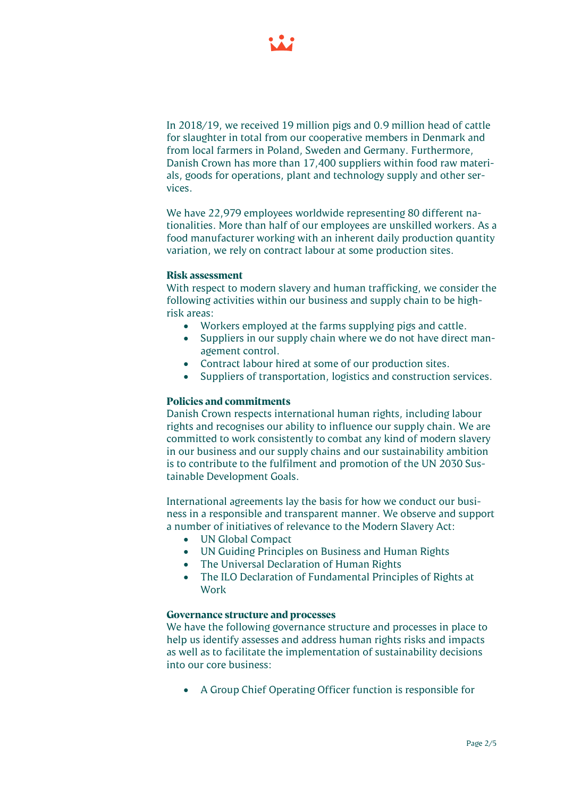

In 2018/19, we received 19 million pigs and 0.9 million head of cattle for slaughter in total from our cooperative members in Denmark and from local farmers in Poland, Sweden and Germany. Furthermore, Danish Crown has more than 17,400 suppliers within food raw materials, goods for operations, plant and technology supply and other services.

We have 22,979 employees worldwide representing 80 different nationalities. More than half of our employees are unskilled workers. As a food manufacturer working with an inherent daily production quantity variation, we rely on contract labour at some production sites.

## **Risk assessment**

With respect to modern slavery and human trafficking, we consider the following activities within our business and supply chain to be highrisk areas:

- Workers employed at the farms supplying pigs and cattle.
- Suppliers in our supply chain where we do not have direct management control.
- Contract labour hired at some of our production sites.
- Suppliers of transportation, logistics and construction services.

#### **Policies and commitments**

Danish Crown respects international human rights, including labour rights and recognises our ability to influence our supply chain. We are committed to work consistently to combat any kind of modern slavery in our business and our supply chains and our sustainability ambition is to contribute to the fulfilment and promotion of the UN 2030 Sustainable Development Goals.

International agreements lay the basis for how we conduct our business in a responsible and transparent manner. We observe and support a number of initiatives of relevance to the Modern Slavery Act:

- UN Global Compact
- UN Guiding Principles on Business and Human Rights
- The Universal Declaration of Human Rights
- The ILO Declaration of Fundamental Principles of Rights at Work

#### **Governance structure and processes**

We have the following governance structure and processes in place to help us identify assesses and address human rights risks and impacts as well as to facilitate the implementation of sustainability decisions into our core business:

• A Group Chief Operating Officer function is responsible for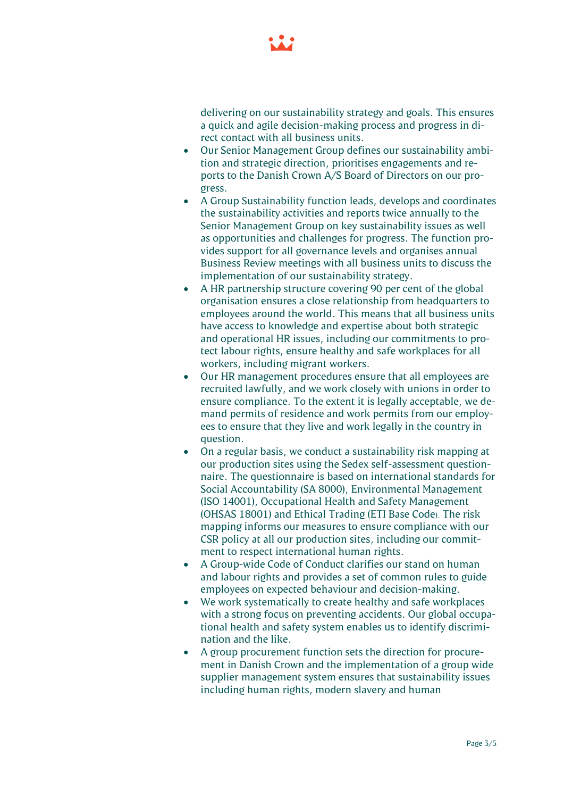

delivering on our sustainability strategy and goals. This ensures a quick and agile decision-making process and progress in direct contact with all business units.

- Our Senior Management Group defines our sustainability ambition and strategic direction, prioritises engagements and reports to the Danish Crown A/S Board of Directors on our progress.
- A Group Sustainability function leads, develops and coordinates the sustainability activities and reports twice annually to the Senior Management Group on key sustainability issues as well as opportunities and challenges for progress. The function provides support for all governance levels and organises annual Business Review meetings with all business units to discuss the implementation of our sustainability strategy.
- A HR partnership structure covering 90 per cent of the global organisation ensures a close relationship from headquarters to employees around the world. This means that all business units have access to knowledge and expertise about both strategic and operational HR issues, including our commitments to protect labour rights, ensure healthy and safe workplaces for all workers, including migrant workers.
- Our HR management procedures ensure that all employees are recruited lawfully, and we work closely with unions in order to ensure compliance. To the extent it is legally acceptable, we demand permits of residence and work permits from our employees to ensure that they live and work legally in the country in question.
- On a regular basis, we conduct a sustainability risk mapping at our production sites using the Sedex self-assessment questionnaire. The questionnaire is based on international standards for Social Accountability (SA 8000), Environmental Management (ISO 14001), Occupational Health and Safety Management (OHSAS 18001) and Ethical Trading (ETI Base Code). The risk mapping informs our measures to ensure compliance with our CSR policy at all our production sites, including our commitment to respect international human rights.
- A Group-wide Code of Conduct clarifies our stand on human and labour rights and provides a set of common rules to guide employees on expected behaviour and decision-making.
- We work systematically to create healthy and safe workplaces with a strong focus on preventing accidents. Our global occupational health and safety system enables us to identify discrimination and the like.
- A group procurement function sets the direction for procurement in Danish Crown and the implementation of a group wide supplier management system ensures that sustainability issues including human rights, modern slavery and human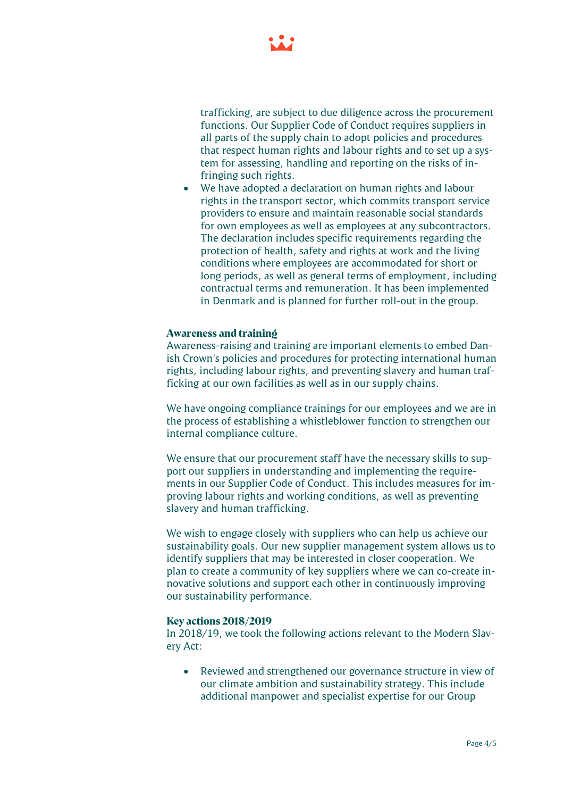

trafficking, are subject to due diligence across the procurement functions. Our Supplier Code of Conduct requires suppliers in all parts of the supply chain to adopt policies and procedures that respect human rights and labour rights and to set up a system for assessing, handling and reporting on the risks of infringing such rights.

• We have adopted a declaration on human rights and labour rights in the transport sector, which commits transport service providers to ensure and maintain reasonable social standards for own employees as well as employees at any subcontractors. The declaration includes specific requirements regarding the protection of health, safety and rights at work and the living conditions where employees are accommodated for short or long periods, as well as general terms of employment, including contractual terms and remuneration. It has been implemented in Denmark and is planned for further roll-out in the group.

## **Awareness and training**

Awareness-raising and training are important elements to embed Danish Crown's policies and procedures for protecting international human rights, including labour rights, and preventing slavery and human trafficking at our own facilities as well as in our supply chains.

We have ongoing compliance trainings for our employees and we are in the process of establishing a whistleblower function to strengthen our internal compliance culture.

We ensure that our procurement staff have the necessary skills to support our suppliers in understanding and implementing the requirements in our Supplier Code of Conduct. This includes measures for improving labour rights and working conditions, as well as preventing slavery and human trafficking.

We wish to engage closely with suppliers who can help us achieve our sustainability goals. Our new supplier management system allows us to identify suppliers that may be interested in closer cooperation. We plan to create a community of key suppliers where we can co-create innovative solutions and support each other in continuously improving our sustainability performance.

#### **Key actions 2018/2019**

In 2018/19, we took the following actions relevant to the Modern Slavery Act:

• Reviewed and strengthened our governance structure in view of our climate ambition and sustainability strategy. This include additional manpower and specialist expertise for our Group